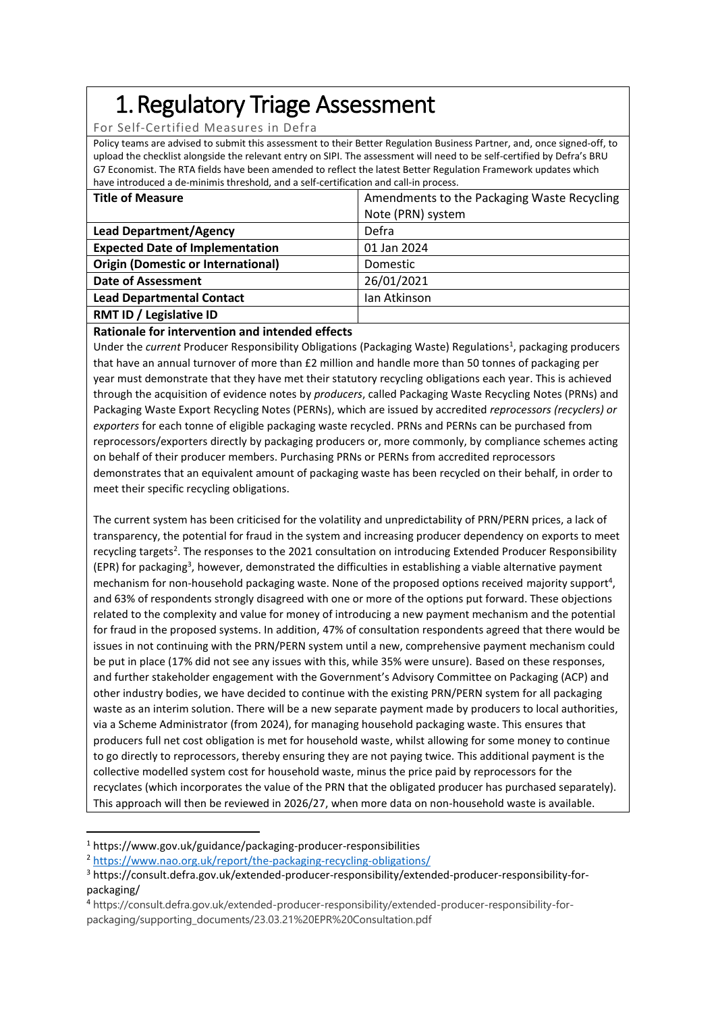# 1.Regulatory Triage Assessment

For Self-Certified Measures in Defra

Policy teams are advised to submit this assessment to their Better Regulation Business Partner, and, once signed-off, to upload the checklist alongside the relevant entry on SIPI. The assessment will need to be self-certified by Defra's BRU G7 Economist. The RTA fields have been amended to reflect the latest Better Regulation Framework updates which have introduced a de-minimis threshold, and a self-certification and call-in process.

| <b>Title of Measure</b>                   | Amendments to the Packaging Waste Recycling |  |  |
|-------------------------------------------|---------------------------------------------|--|--|
|                                           | Note (PRN) system                           |  |  |
| <b>Lead Department/Agency</b>             | Defra                                       |  |  |
| <b>Expected Date of Implementation</b>    | 01 Jan 2024                                 |  |  |
| <b>Origin (Domestic or International)</b> | <b>Domestic</b>                             |  |  |
| <b>Date of Assessment</b>                 | 26/01/2021                                  |  |  |
| <b>Lead Departmental Contact</b>          | Ian Atkinson                                |  |  |
| RMT ID / Legislative ID                   |                                             |  |  |

# **Rationale for intervention and intended effects**

Under the *current* Producer Responsibility Obligations (Packaging Waste) Regulations<sup>1</sup>, packaging producers that have an annual turnover of more than £2 million and handle more than 50 tonnes of packaging per year must demonstrate that they have met their statutory recycling obligations each year. This is achieved through the acquisition of evidence notes by *producers*, called Packaging Waste Recycling Notes (PRNs) and Packaging Waste Export Recycling Notes (PERNs), which are issued by accredited *reprocessors (recyclers) or exporters* for each tonne of eligible packaging waste recycled. PRNs and PERNs can be purchased from reprocessors/exporters directly by packaging producers or, more commonly, by compliance schemes acting on behalf of their producer members. Purchasing PRNs or PERNs from accredited reprocessors demonstrates that an equivalent amount of packaging waste has been recycled on their behalf, in order to meet their specific recycling obligations.

The current system has been criticised for the volatility and unpredictability of PRN/PERN prices, a lack of transparency, the potential for fraud in the system and increasing producer dependency on exports to meet recycling targets<sup>2</sup>. The responses to the 2021 consultation on introducing Extended Producer Responsibility (EPR) for packaging<sup>3</sup>, however, demonstrated the difficulties in establishing a viable alternative payment mechanism for non-household packaging waste. None of the proposed options received majority support<sup>4</sup>, and 63% of respondents strongly disagreed with one or more of the options put forward. These objections related to the complexity and value for money of introducing a new payment mechanism and the potential for fraud in the proposed systems. In addition, 47% of consultation respondents agreed that there would be issues in not continuing with the PRN/PERN system until a new, comprehensive payment mechanism could be put in place (17% did not see any issues with this, while 35% were unsure). Based on these responses, and further stakeholder engagement with the Government's Advisory Committee on Packaging (ACP) and other industry bodies, we have decided to continue with the existing PRN/PERN system for all packaging waste as an interim solution. There will be a new separate payment made by producers to local authorities, via a Scheme Administrator (from 2024), for managing household packaging waste. This ensures that producers full net cost obligation is met for household waste, whilst allowing for some money to continue to go directly to reprocessors, thereby ensuring they are not paying twice. This additional payment is the collective modelled system cost for household waste, minus the price paid by reprocessors for the recyclates (which incorporates the value of the PRN that the obligated producer has purchased separately). This approach will then be reviewed in 2026/27, when more data on non-household waste is available.

<sup>1</sup> https://www.gov.uk/guidance/packaging-producer-responsibilities

<sup>2</sup> <https://www.nao.org.uk/report/the-packaging-recycling-obligations/>

<sup>3</sup> https://consult.defra.gov.uk/extended-producer-responsibility/extended-producer-responsibility-forpackaging/

<sup>4</sup> https://consult.defra.gov.uk/extended-producer-responsibility/extended-producer-responsibility-forpackaging/supporting\_documents/23.03.21%20EPR%20Consultation.pdf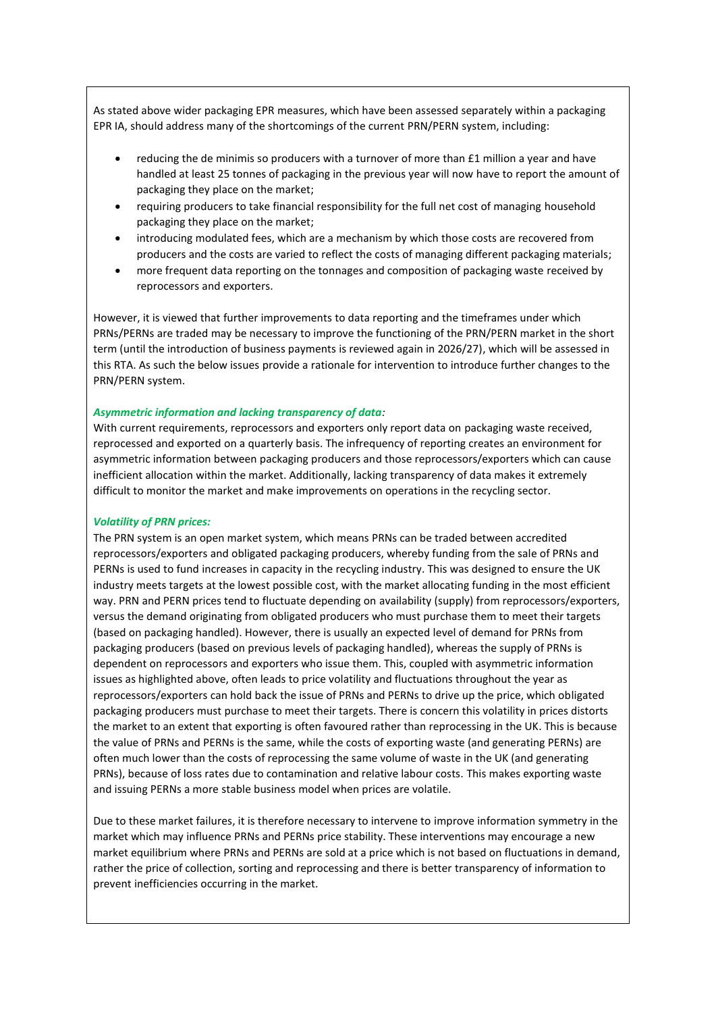As stated above wider packaging EPR measures, which have been assessed separately within a packaging EPR IA, should address many of the shortcomings of the current PRN/PERN system, including:

- reducing the de minimis so producers with a turnover of more than £1 million a year and have handled at least 25 tonnes of packaging in the previous year will now have to report the amount of packaging they place on the market;
- requiring producers to take financial responsibility for the full net cost of managing household packaging they place on the market;
- introducing modulated fees, which are a mechanism by which those costs are recovered from producers and the costs are varied to reflect the costs of managing different packaging materials;
- more frequent data reporting on the tonnages and composition of packaging waste received by reprocessors and exporters.

However, it is viewed that further improvements to data reporting and the timeframes under which PRNs/PERNs are traded may be necessary to improve the functioning of the PRN/PERN market in the short term (until the introduction of business payments is reviewed again in 2026/27), which will be assessed in this RTA. As such the below issues provide a rationale for intervention to introduce further changes to the PRN/PERN system.

### *Asymmetric information and lacking transparency of data:*

With current requirements, reprocessors and exporters only report data on packaging waste received, reprocessed and exported on a quarterly basis. The infrequency of reporting creates an environment for asymmetric information between packaging producers and those reprocessors/exporters which can cause inefficient allocation within the market. Additionally, lacking transparency of data makes it extremely difficult to monitor the market and make improvements on operations in the recycling sector.

### *Volatility of PRN prices:*

The PRN system is an open market system, which means PRNs can be traded between accredited reprocessors/exporters and obligated packaging producers, whereby funding from the sale of PRNs and PERNs is used to fund increases in capacity in the recycling industry. This was designed to ensure the UK industry meets targets at the lowest possible cost, with the market allocating funding in the most efficient way. PRN and PERN prices tend to fluctuate depending on availability (supply) from reprocessors/exporters, versus the demand originating from obligated producers who must purchase them to meet their targets (based on packaging handled). However, there is usually an expected level of demand for PRNs from packaging producers (based on previous levels of packaging handled), whereas the supply of PRNs is dependent on reprocessors and exporters who issue them. This, coupled with asymmetric information issues as highlighted above, often leads to price volatility and fluctuations throughout the year as reprocessors/exporters can hold back the issue of PRNs and PERNs to drive up the price, which obligated packaging producers must purchase to meet their targets. There is concern this volatility in prices distorts the market to an extent that exporting is often favoured rather than reprocessing in the UK. This is because the value of PRNs and PERNs is the same, while the costs of exporting waste (and generating PERNs) are often much lower than the costs of reprocessing the same volume of waste in the UK (and generating PRNs), because of loss rates due to contamination and relative labour costs. This makes exporting waste and issuing PERNs a more stable business model when prices are volatile.

Due to these market failures, it is therefore necessary to intervene to improve information symmetry in the market which may influence PRNs and PERNs price stability. These interventions may encourage a new market equilibrium where PRNs and PERNs are sold at a price which is not based on fluctuations in demand, rather the price of collection, sorting and reprocessing and there is better transparency of information to prevent inefficiencies occurring in the market.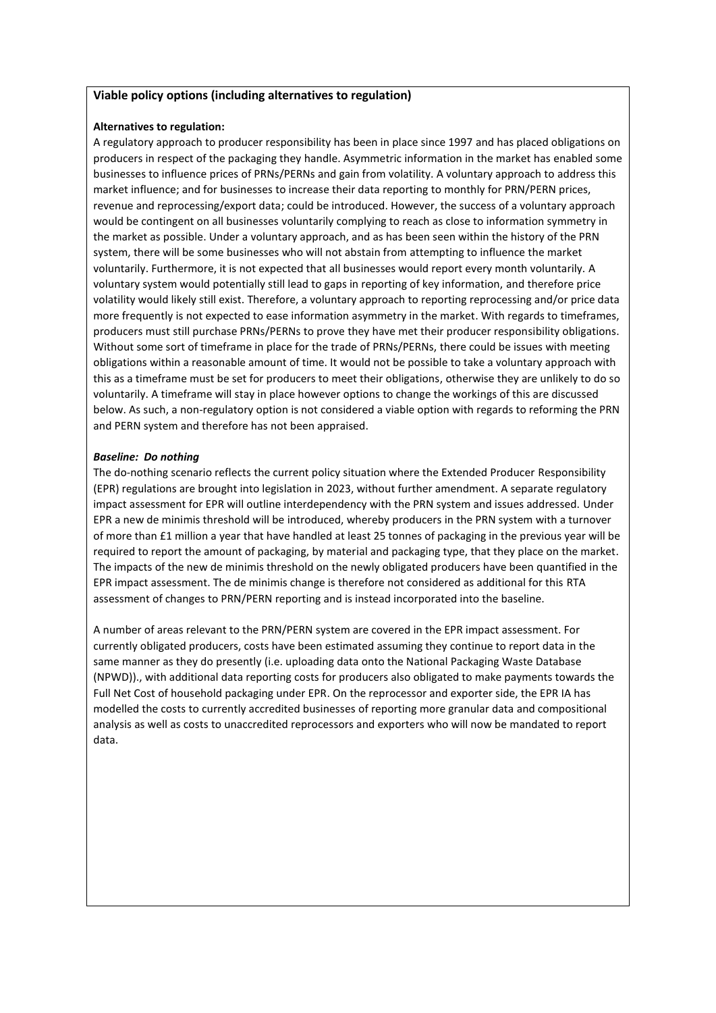### **Viable policy options (including alternatives to regulation)**

## **Alternatives to regulation:**

A regulatory approach to producer responsibility has been in place since 1997 and has placed obligations on producers in respect of the packaging they handle. Asymmetric information in the market has enabled some businesses to influence prices of PRNs/PERNs and gain from volatility. A voluntary approach to address this market influence; and for businesses to increase their data reporting to monthly for PRN/PERN prices, revenue and reprocessing/export data; could be introduced. However, the success of a voluntary approach would be contingent on all businesses voluntarily complying to reach as close to information symmetry in the market as possible. Under a voluntary approach, and as has been seen within the history of the PRN system, there will be some businesses who will not abstain from attempting to influence the market voluntarily. Furthermore, it is not expected that all businesses would report every month voluntarily. A voluntary system would potentially still lead to gaps in reporting of key information, and therefore price volatility would likely still exist. Therefore, a voluntary approach to reporting reprocessing and/or price data more frequently is not expected to ease information asymmetry in the market. With regards to timeframes, producers must still purchase PRNs/PERNs to prove they have met their producer responsibility obligations. Without some sort of timeframe in place for the trade of PRNs/PERNs, there could be issues with meeting obligations within a reasonable amount of time. It would not be possible to take a voluntary approach with this as a timeframe must be set for producers to meet their obligations, otherwise they are unlikely to do so voluntarily. A timeframe will stay in place however options to change the workings of this are discussed below. As such, a non-regulatory option is not considered a viable option with regards to reforming the PRN and PERN system and therefore has not been appraised.

# *Baseline: Do nothing*

The do-nothing scenario reflects the current policy situation where the Extended Producer Responsibility (EPR) regulations are brought into legislation in 2023, without further amendment. A separate regulatory impact assessment for EPR will outline interdependency with the PRN system and issues addressed. Under EPR a new de minimis threshold will be introduced, whereby producers in the PRN system with a turnover of more than £1 million a year that have handled at least 25 tonnes of packaging in the previous year will be required to report the amount of packaging, by material and packaging type, that they place on the market. The impacts of the new de minimis threshold on the newly obligated producers have been quantified in the EPR impact assessment. The de minimis change is therefore not considered as additional for this RTA assessment of changes to PRN/PERN reporting and is instead incorporated into the baseline.

A number of areas relevant to the PRN/PERN system are covered in the EPR impact assessment. For currently obligated producers, costs have been estimated assuming they continue to report data in the same manner as they do presently (i.e. uploading data onto the National Packaging Waste Database (NPWD))., with additional data reporting costs for producers also obligated to make payments towards the Full Net Cost of household packaging under EPR. On the reprocessor and exporter side, the EPR IA has modelled the costs to currently accredited businesses of reporting more granular data and compositional analysis as well as costs to unaccredited reprocessors and exporters who will now be mandated to report data.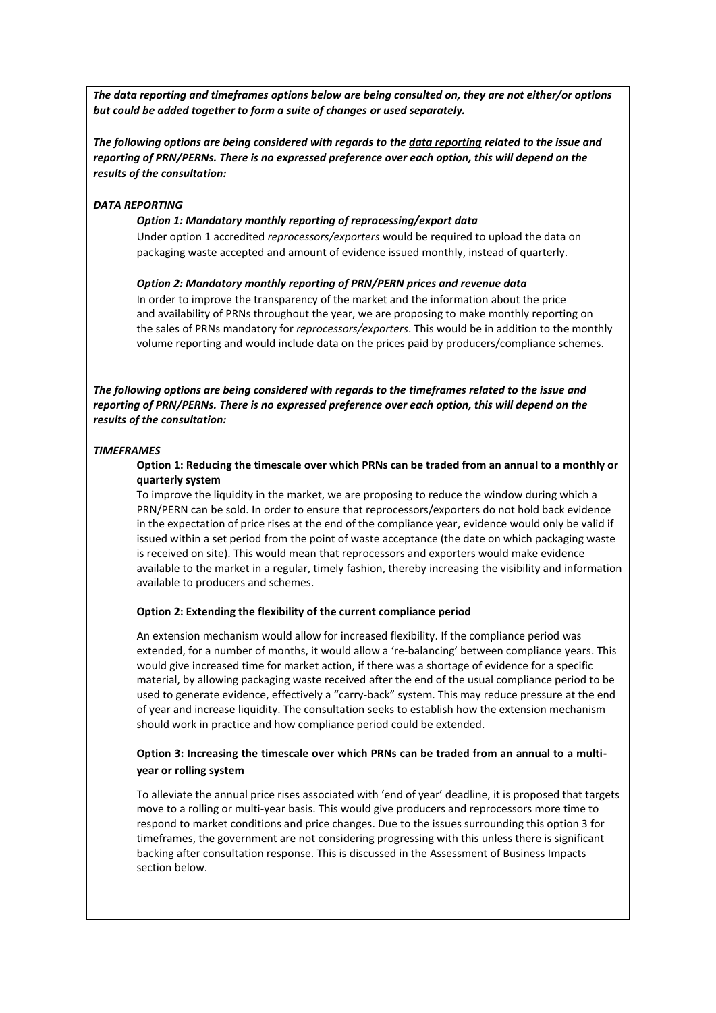*The data reporting and timeframes options below are being consulted on, they are not either/or options but could be added together to form a suite of changes or used separately.*

*The following options are being considered with regards to the data reporting related to the issue and reporting of PRN/PERNs. There is no expressed preference over each option, this will depend on the results of the consultation:*

### *DATA REPORTING*

#### *Option 1: Mandatory monthly reporting of reprocessing/export data*

Under option 1 accredited *reprocessors/exporters* would be required to upload the data on packaging waste accepted and amount of evidence issued monthly, instead of quarterly.

#### *Option 2: Mandatory monthly reporting of PRN/PERN prices and revenue data*

In order to improve the transparency of the market and the information about the price and availability of PRNs throughout the year, we are proposing to make monthly reporting on the sales of PRNs mandatory for *reprocessors/exporters*. This would be in addition to the monthly volume reporting and would include data on the prices paid by producers/compliance schemes.

*The following options are being considered with regards to the timeframes related to the issue and reporting of PRN/PERNs. There is no expressed preference over each option, this will depend on the results of the consultation:*

#### *TIMEFRAMES*

### **Option 1: Reducing the timescale over which PRNs can be traded from an annual to a monthly or quarterly system**

To improve the liquidity in the market, we are proposing to reduce the window during which a PRN/PERN can be sold. In order to ensure that reprocessors/exporters do not hold back evidence in the expectation of price rises at the end of the compliance year, evidence would only be valid if issued within a set period from the point of waste acceptance (the date on which packaging waste is received on site). This would mean that reprocessors and exporters would make evidence available to the market in a regular, timely fashion, thereby increasing the visibility and information available to producers and schemes.

# **Option 2: Extending the flexibility of the current compliance period**

An extension mechanism would allow for increased flexibility. If the compliance period was extended, for a number of months, it would allow a 're-balancing' between compliance years. This would give increased time for market action, if there was a shortage of evidence for a specific material, by allowing packaging waste received after the end of the usual compliance period to be used to generate evidence, effectively a "carry-back" system. This may reduce pressure at the end of year and increase liquidity. The consultation seeks to establish how the extension mechanism should work in practice and how compliance period could be extended.

## **Option 3: Increasing the timescale over which PRNs can be traded from an annual to a multiyear or rolling system**

To alleviate the annual price rises associated with 'end of year' deadline, it is proposed that targets move to a rolling or multi-year basis. This would give producers and reprocessors more time to respond to market conditions and price changes. Due to the issues surrounding this option 3 for timeframes, the government are not considering progressing with this unless there is significant backing after consultation response. This is discussed in the Assessment of Business Impacts section below.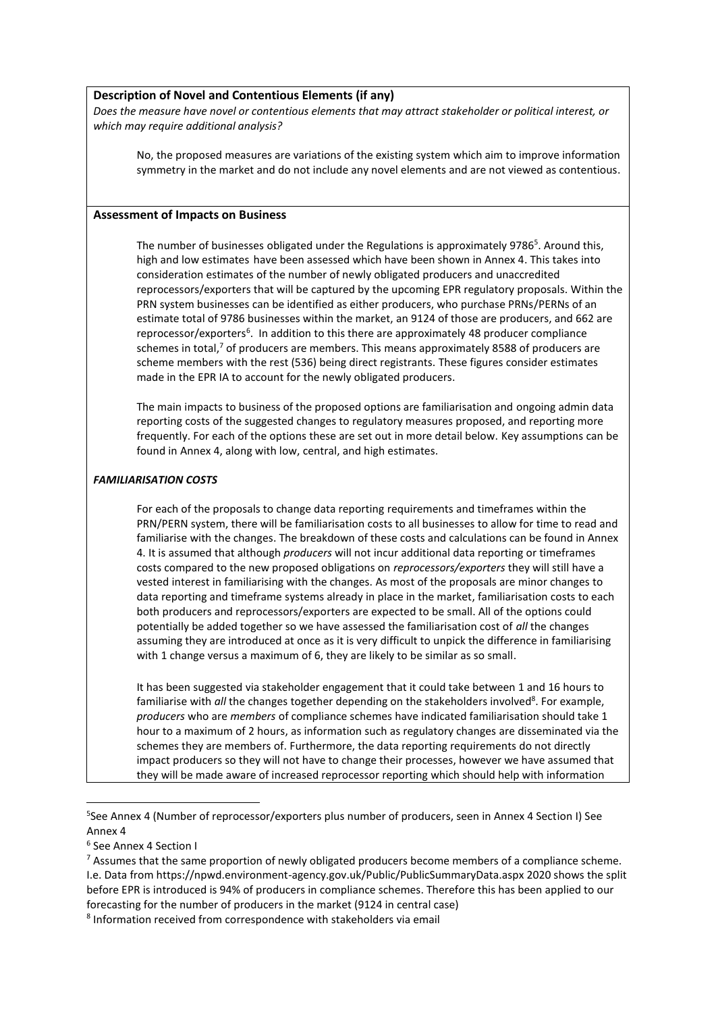#### **Description of Novel and Contentious Elements (if any)**

*Does the measure have novel or contentious elements that may attract stakeholder or political interest, or which may require additional analysis?*

No, the proposed measures are variations of the existing system which aim to improve information symmetry in the market and do not include any novel elements and are not viewed as contentious.

#### **Assessment of Impacts on Business**

The number of businesses obligated under the Regulations is approximately 9786<sup>5</sup>. Around this, high and low estimates have been assessed which have been shown in Annex 4. This takes into consideration estimates of the number of newly obligated producers and unaccredited reprocessors/exporters that will be captured by the upcoming EPR regulatory proposals. Within the PRN system businesses can be identified as either producers, who purchase PRNs/PERNs of an estimate total of 9786 businesses within the market, an 9124 of those are producers, and 662 are reprocessor/exporters<sup>6</sup>. In addition to this there are approximately 48 producer compliance schemes in total,<sup>7</sup> of producers are members. This means approximately 8588 of producers are scheme members with the rest (536) being direct registrants. These figures consider estimates made in the EPR IA to account for the newly obligated producers.

The main impacts to business of the proposed options are familiarisation and ongoing admin data reporting costs of the suggested changes to regulatory measures proposed, and reporting more frequently. For each of the options these are set out in more detail below. Key assumptions can be found in Annex 4, along with low, central, and high estimates.

### *FAMILIARISATION COSTS*

For each of the proposals to change data reporting requirements and timeframes within the PRN/PERN system, there will be familiarisation costs to all businesses to allow for time to read and familiarise with the changes. The breakdown of these costs and calculations can be found in Annex 4. It is assumed that although *producers* will not incur additional data reporting or timeframes costs compared to the new proposed obligations on *reprocessors/exporters* they will still have a vested interest in familiarising with the changes. As most of the proposals are minor changes to data reporting and timeframe systems already in place in the market, familiarisation costs to each both producers and reprocessors/exporters are expected to be small. All of the options could potentially be added together so we have assessed the familiarisation cost of *all* the changes assuming they are introduced at once as it is very difficult to unpick the difference in familiarising with 1 change versus a maximum of 6, they are likely to be similar as so small.

It has been suggested via stakeholder engagement that it could take between 1 and 16 hours to familiarise with all the changes together depending on the stakeholders involved<sup>8</sup>. For example, *producers* who are *members* of compliance schemes have indicated familiarisation should take 1 hour to a maximum of 2 hours, as information such as regulatory changes are disseminated via the schemes they are members of. Furthermore, the data reporting requirements do not directly impact producers so they will not have to change their processes, however we have assumed that they will be made aware of increased reprocessor reporting which should help with information

6 See Annex 4 Section I

 $<sup>7</sup>$  Assumes that the same proportion of newly obligated producers become members of a compliance scheme.</sup> I.e. Data from https://npwd.environment-agency.gov.uk/Public/PublicSummaryData.aspx 2020 shows the split before EPR is introduced is 94% of producers in compliance schemes. Therefore this has been applied to our forecasting for the number of producers in the market (9124 in central case)

8 Information received from correspondence with stakeholders via email

<sup>5</sup> See Annex 4 (Number of reprocessor/exporters plus number of producers, seen in Annex 4 Section I) See Annex 4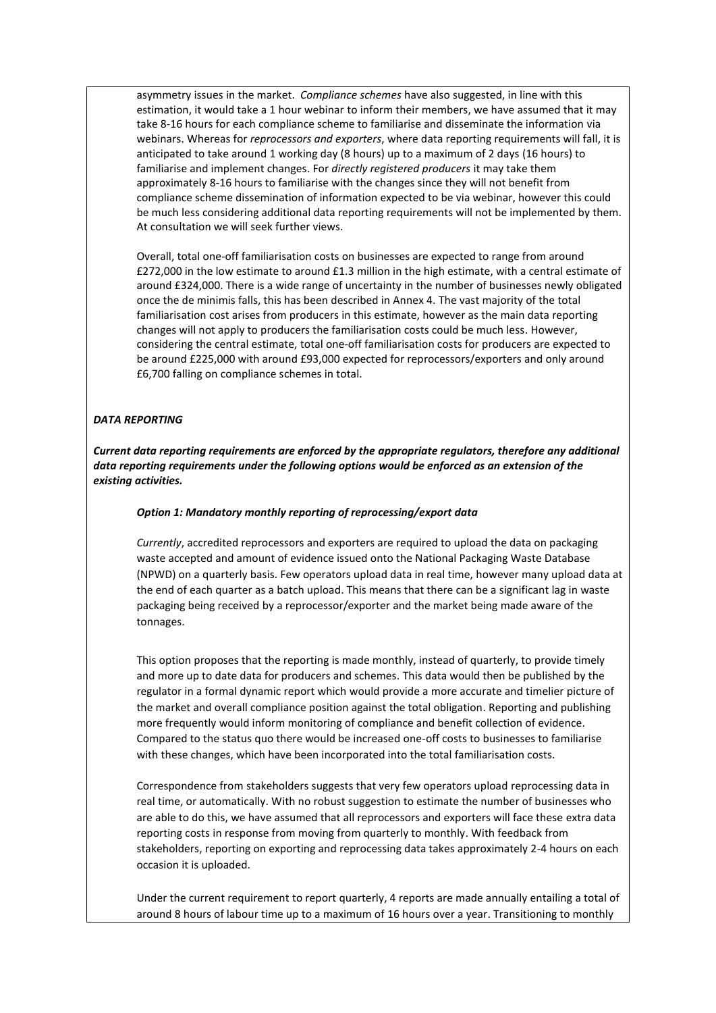asymmetry issues in the market. *Compliance schemes* have also suggested, in line with this estimation, it would take a 1 hour webinar to inform their members, we have assumed that it may take 8-16 hours for each compliance scheme to familiarise and disseminate the information via webinars. Whereas for *reprocessors and exporters*, where data reporting requirements will fall, it is anticipated to take around 1 working day (8 hours) up to a maximum of 2 days (16 hours) to familiarise and implement changes. For *directly registered producers* it may take them approximately 8-16 hours to familiarise with the changes since they will not benefit from compliance scheme dissemination of information expected to be via webinar, however this could be much less considering additional data reporting requirements will not be implemented by them. At consultation we will seek further views.

Overall, total one-off familiarisation costs on businesses are expected to range from around £272,000 in the low estimate to around £1.3 million in the high estimate, with a central estimate of around £324,000. There is a wide range of uncertainty in the number of businesses newly obligated once the de minimis falls, this has been described in Annex 4. The vast majority of the total familiarisation cost arises from producers in this estimate, however as the main data reporting changes will not apply to producers the familiarisation costs could be much less. However, considering the central estimate, total one-off familiarisation costs for producers are expected to be around £225,000 with around £93,000 expected for reprocessors/exporters and only around £6,700 falling on compliance schemes in total.

### *DATA REPORTING*

*Current data reporting requirements are enforced by the appropriate regulators, therefore any additional data reporting requirements under the following options would be enforced as an extension of the existing activities.*

#### *Option 1: Mandatory monthly reporting of reprocessing/export data*

*Currently*, accredited reprocessors and exporters are required to upload the data on packaging waste accepted and amount of evidence issued onto the National Packaging Waste Database (NPWD) on a quarterly basis. Few operators upload data in real time, however many upload data at the end of each quarter as a batch upload. This means that there can be a significant lag in waste packaging being received by a reprocessor/exporter and the market being made aware of the tonnages.

This option proposes that the reporting is made monthly, instead of quarterly, to provide timely and more up to date data for producers and schemes. This data would then be published by the regulator in a formal dynamic report which would provide a more accurate and timelier picture of the market and overall compliance position against the total obligation. Reporting and publishing more frequently would inform monitoring of compliance and benefit collection of evidence. Compared to the status quo there would be increased one-off costs to businesses to familiarise with these changes, which have been incorporated into the total familiarisation costs.

Correspondence from stakeholders suggests that very few operators upload reprocessing data in real time, or automatically. With no robust suggestion to estimate the number of businesses who are able to do this, we have assumed that all reprocessors and exporters will face these extra data reporting costs in response from moving from quarterly to monthly. With feedback from stakeholders, reporting on exporting and reprocessing data takes approximately 2-4 hours on each occasion it is uploaded.

Under the current requirement to report quarterly, 4 reports are made annually entailing a total of around 8 hours of labour time up to a maximum of 16 hours over a year. Transitioning to monthly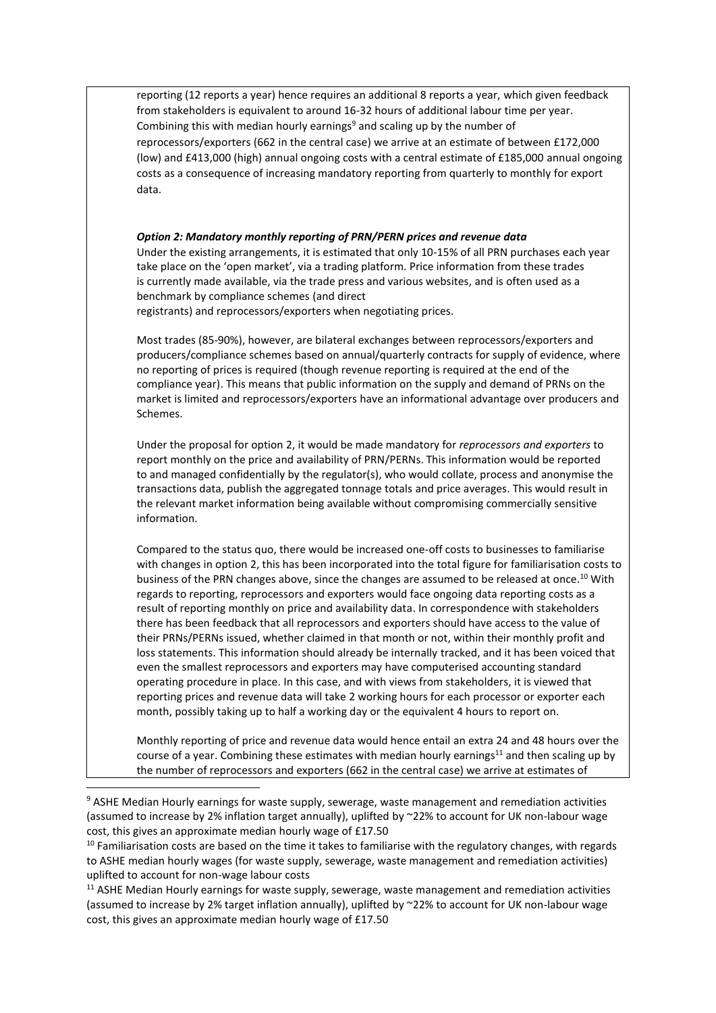reporting (12 reports a year) hence requires an additional 8 reports a year, which given feedback from stakeholders is equivalent to around 16-32 hours of additional labour time per year. Combining this with median hourly earnings<sup>9</sup> and scaling up by the number of reprocessors/exporters (662 in the central case) we arrive at an estimate of between £172,000 (low) and £413,000 (high) annual ongoing costs with a central estimate of £185,000 annual ongoing costs as a consequence of increasing mandatory reporting from quarterly to monthly for export data. *Option 2: Mandatory monthly reporting of PRN/PERN prices and revenue data* Under the existing arrangements, it is estimated that only 10-15% of all PRN purchases each year take place on the 'open market', via a trading platform. Price information from these trades is currently made available, via the trade press and various websites, and is often used as a benchmark by compliance schemes (and direct registrants) and reprocessors/exporters when negotiating prices. Most trades (85-90%), however, are bilateral exchanges between reprocessors/exporters and producers/compliance schemes based on annual/quarterly contracts for supply of evidence, where no reporting of prices is required (though revenue reporting is required at the end of the compliance year). This means that public information on the supply and demand of PRNs on the market is limited and reprocessors/exporters have an informational advantage over producers and Schemes. Under the proposal for option 2, it would be made mandatory for *reprocessors and exporters* to report monthly on the price and availability of PRN/PERNs. This information would be reported to and managed confidentially by the regulator(s), who would collate, process and anonymise the transactions data, publish the aggregated tonnage totals and price averages. This would result in the relevant market information being available without compromising commercially sensitive information. Compared to the status quo, there would be increased one-off costs to businesses to familiarise with changes in option 2, this has been incorporated into the total figure for familiarisation costs to business of the PRN changes above, since the changes are assumed to be released at once. <sup>10</sup> With regards to reporting, reprocessors and exporters would face ongoing data reporting costs as a result of reporting monthly on price and availability data. In correspondence with stakeholders there has been feedback that all reprocessors and exporters should have access to the value of their PRNs/PERNs issued, whether claimed in that month or not, within their monthly profit and loss statements. This information should already be internally tracked, and it has been voiced that even the smallest reprocessors and exporters may have computerised accounting standard operating procedure in place. In this case, and with views from stakeholders, it is viewed that reporting prices and revenue data will take 2 working hours for each processor or exporter each month, possibly taking up to half a working day or the equivalent 4 hours to report on.

Monthly reporting of price and revenue data would hence entail an extra 24 and 48 hours over the course of a year. Combining these estimates with median hourly earnings<sup>11</sup> and then scaling up by the number of reprocessors and exporters (662 in the central case) we arrive at estimates of

<sup>&</sup>lt;sup>9</sup> ASHE Median Hourly earnings for waste supply, sewerage, waste management and remediation activities (assumed to increase by 2% inflation target annually), uplifted by ~22% to account for UK non-labour wage cost, this gives an approximate median hourly wage of £17.50

 $10$  Familiarisation costs are based on the time it takes to familiarise with the regulatory changes, with regards to ASHE median hourly wages (for waste supply, sewerage, waste management and remediation activities) uplifted to account for non-wage labour costs

<sup>&</sup>lt;sup>11</sup> ASHE Median Hourly earnings for waste supply, sewerage, waste management and remediation activities (assumed to increase by 2% target inflation annually), uplifted by ~22% to account for UK non-labour wage cost, this gives an approximate median hourly wage of £17.50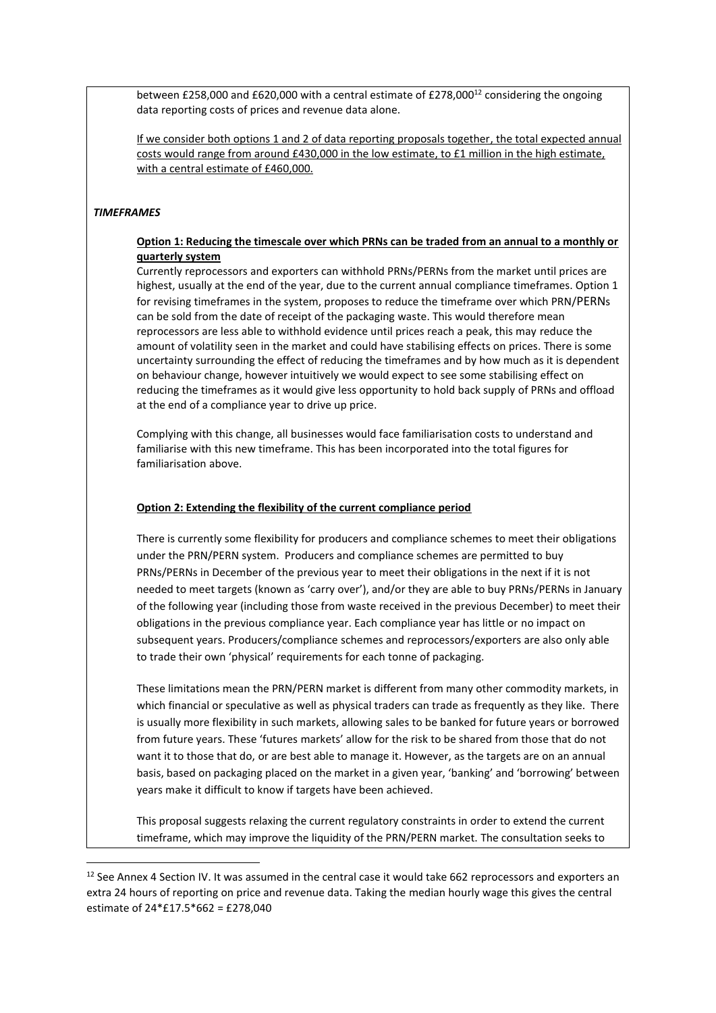between £258,000 and £620,000 with a central estimate of £278,000<sup>12</sup> considering the ongoing data reporting costs of prices and revenue data alone.

If we consider both options 1 and 2 of data reporting proposals together, the total expected annual costs would range from around £430,000 in the low estimate, to £1 million in the high estimate, with a central estimate of £460,000.

#### *TIMEFRAMES*

# **Option 1: Reducing the timescale over which PRNs can be traded from an annual to a monthly or quarterly system**

Currently reprocessors and exporters can withhold PRNs/PERNs from the market until prices are highest, usually at the end of the year, due to the current annual compliance timeframes. Option 1 for revising timeframes in the system, proposes to reduce the timeframe over which PRN/PERNs can be sold from the date of receipt of the packaging waste. This would therefore mean reprocessors are less able to withhold evidence until prices reach a peak, this may reduce the amount of volatility seen in the market and could have stabilising effects on prices. There is some uncertainty surrounding the effect of reducing the timeframes and by how much as it is dependent on behaviour change, however intuitively we would expect to see some stabilising effect on reducing the timeframes as it would give less opportunity to hold back supply of PRNs and offload at the end of a compliance year to drive up price.

Complying with this change, all businesses would face familiarisation costs to understand and familiarise with this new timeframe. This has been incorporated into the total figures for familiarisation above.

#### **Option 2: Extending the flexibility of the current compliance period**

There is currently some flexibility for producers and compliance schemes to meet their obligations under the PRN/PERN system. Producers and compliance schemes are permitted to buy PRNs/PERNs in December of the previous year to meet their obligations in the next if it is not needed to meet targets (known as 'carry over'), and/or they are able to buy PRNs/PERNs in January of the following year (including those from waste received in the previous December) to meet their obligations in the previous compliance year. Each compliance year has little or no impact on subsequent years. Producers/compliance schemes and reprocessors/exporters are also only able to trade their own 'physical' requirements for each tonne of packaging.

These limitations mean the PRN/PERN market is different from many other commodity markets, in which financial or speculative as well as physical traders can trade as frequently as they like. There is usually more flexibility in such markets, allowing sales to be banked for future years or borrowed from future years. These 'futures markets' allow for the risk to be shared from those that do not want it to those that do, or are best able to manage it. However, as the targets are on an annual basis, based on packaging placed on the market in a given year, 'banking' and 'borrowing' between years make it difficult to know if targets have been achieved.

This proposal suggests relaxing the current regulatory constraints in order to extend the current timeframe, which may improve the liquidity of the PRN/PERN market. The consultation seeks to

<sup>&</sup>lt;sup>12</sup> See Annex 4 Section IV. It was assumed in the central case it would take 662 reprocessors and exporters an extra 24 hours of reporting on price and revenue data. Taking the median hourly wage this gives the central estimate of 24\*£17.5\*662 = £278,040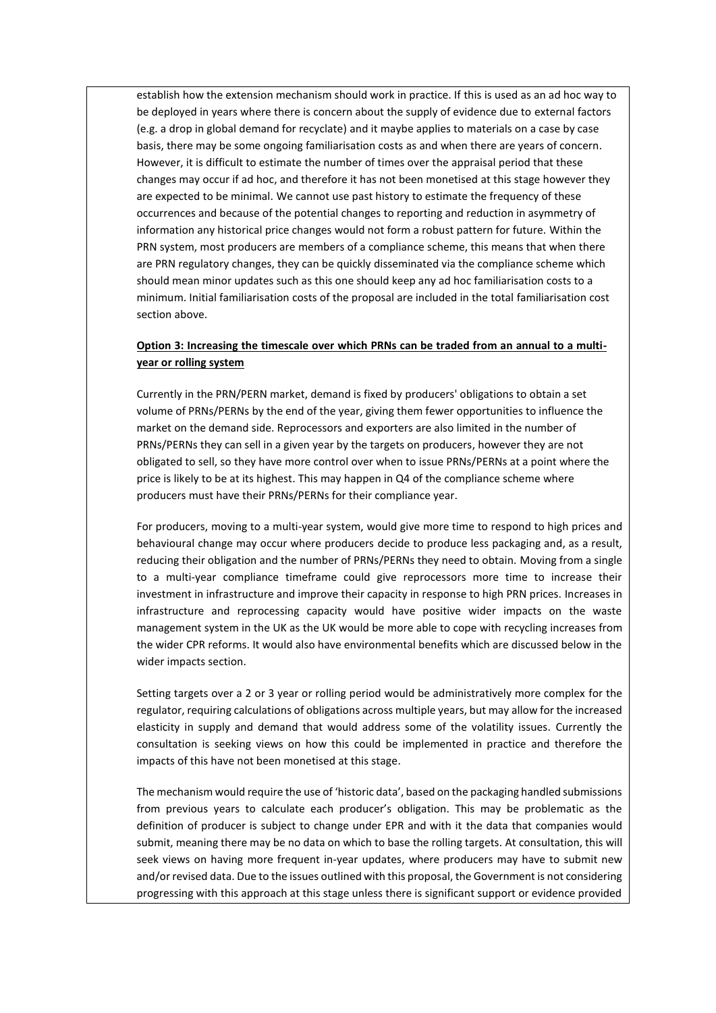establish how the extension mechanism should work in practice. If this is used as an ad hoc way to be deployed in years where there is concern about the supply of evidence due to external factors (e.g. a drop in global demand for recyclate) and it maybe applies to materials on a case by case basis, there may be some ongoing familiarisation costs as and when there are years of concern. However, it is difficult to estimate the number of times over the appraisal period that these changes may occur if ad hoc, and therefore it has not been monetised at this stage however they are expected to be minimal. We cannot use past history to estimate the frequency of these occurrences and because of the potential changes to reporting and reduction in asymmetry of information any historical price changes would not form a robust pattern for future. Within the PRN system, most producers are members of a compliance scheme, this means that when there are PRN regulatory changes, they can be quickly disseminated via the compliance scheme which should mean minor updates such as this one should keep any ad hoc familiarisation costs to a minimum. Initial familiarisation costs of the proposal are included in the total familiarisation cost section above.

# **Option 3: Increasing the timescale over which PRNs can be traded from an annual to a multiyear or rolling system**

Currently in the PRN/PERN market, demand is fixed by producers' obligations to obtain a set volume of PRNs/PERNs by the end of the year, giving them fewer opportunities to influence the market on the demand side. Reprocessors and exporters are also limited in the number of PRNs/PERNs they can sell in a given year by the targets on producers, however they are not obligated to sell, so they have more control over when to issue PRNs/PERNs at a point where the price is likely to be at its highest. This may happen in Q4 of the compliance scheme where producers must have their PRNs/PERNs for their compliance year.

For producers, moving to a multi-year system, would give more time to respond to high prices and behavioural change may occur where producers decide to produce less packaging and, as a result, reducing their obligation and the number of PRNs/PERNs they need to obtain. Moving from a single to a multi-year compliance timeframe could give reprocessors more time to increase their investment in infrastructure and improve their capacity in response to high PRN prices. Increases in infrastructure and reprocessing capacity would have positive wider impacts on the waste management system in the UK as the UK would be more able to cope with recycling increases from the wider CPR reforms. It would also have environmental benefits which are discussed below in the wider impacts section.

Setting targets over a 2 or 3 year or rolling period would be administratively more complex for the regulator, requiring calculations of obligations across multiple years, but may allow for the increased elasticity in supply and demand that would address some of the volatility issues. Currently the consultation is seeking views on how this could be implemented in practice and therefore the impacts of this have not been monetised at this stage.

The mechanism would require the use of 'historic data', based on the packaging handled submissions from previous years to calculate each producer's obligation. This may be problematic as the definition of producer is subject to change under EPR and with it the data that companies would submit, meaning there may be no data on which to base the rolling targets. At consultation, this will seek views on having more frequent in-year updates, where producers may have to submit new and/or revised data. Due to the issues outlined with this proposal, the Government is not considering progressing with this approach at this stage unless there is significant support or evidence provided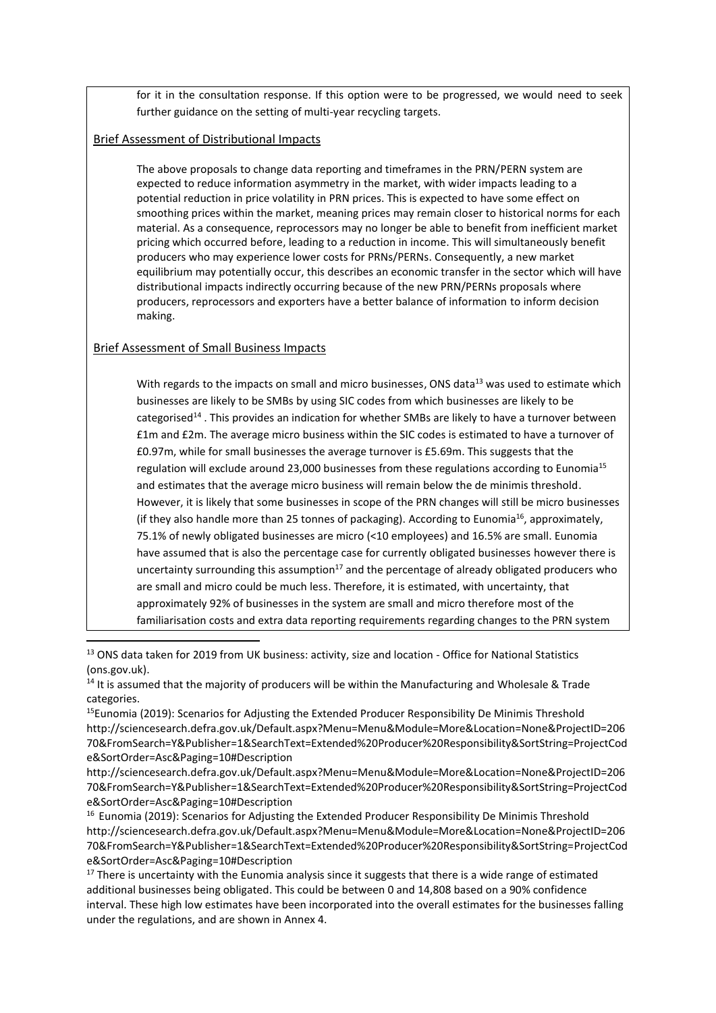for it in the consultation response. If this option were to be progressed, we would need to seek further guidance on the setting of multi-year recycling targets.

# Brief Assessment of Distributional Impacts

The above proposals to change data reporting and timeframes in the PRN/PERN system are expected to reduce information asymmetry in the market, with wider impacts leading to a potential reduction in price volatility in PRN prices. This is expected to have some effect on smoothing prices within the market, meaning prices may remain closer to historical norms for each material. As a consequence, reprocessors may no longer be able to benefit from inefficient market pricing which occurred before, leading to a reduction in income. This will simultaneously benefit producers who may experience lower costs for PRNs/PERNs. Consequently, a new market equilibrium may potentially occur, this describes an economic transfer in the sector which will have distributional impacts indirectly occurring because of the new PRN/PERNs proposals where producers, reprocessors and exporters have a better balance of information to inform decision making.

# Brief Assessment of Small Business Impacts

With regards to the impacts on small and micro businesses, ONS data<sup>13</sup> was used to estimate which businesses are likely to be SMBs by using SIC codes from which businesses are likely to be categorised<sup>14</sup>. This provides an indication for whether SMBs are likely to have a turnover between £1m and £2m. The average micro business within the SIC codes is estimated to have a turnover of £0.97m, while for small businesses the average turnover is £5.69m. This suggests that the regulation will exclude around 23,000 businesses from these regulations according to Eunomia<sup>15</sup> and estimates that the average micro business will remain below the de minimis threshold. However, it is likely that some businesses in scope of the PRN changes will still be micro businesses (if they also handle more than 25 tonnes of packaging). According to Eunomia<sup>16</sup>, approximately, 75.1% of newly obligated businesses are micro (<10 employees) and 16.5% are small. Eunomia have assumed that is also the percentage case for currently obligated businesses however there is uncertainty surrounding this assumption<sup>17</sup> and the percentage of already obligated producers who are small and micro could be much less. Therefore, it is estimated, with uncertainty, that approximately 92% of businesses in the system are small and micro therefore most of the familiarisation costs and extra data reporting requirements regarding changes to the PRN system

<sup>&</sup>lt;sup>13</sup> ONS data taken for 2019 from [UK business: activity, size and location -](https://www.ons.gov.uk/businessindustryandtrade/business/activitysizeandlocation/datasets/ukbusinessactivitysizeandlocation) Office for National Statistics [\(ons.gov.uk\).](https://www.ons.gov.uk/businessindustryandtrade/business/activitysizeandlocation/datasets/ukbusinessactivitysizeandlocation)

<sup>&</sup>lt;sup>14</sup> It is assumed that the majority of producers will be within the Manufacturing and Wholesale & Trade categories.

<sup>&</sup>lt;sup>15</sup>Eunomia (2019): Scenarios for Adjusting the Extended Producer Responsibility De Minimis Threshold http://sciencesearch.defra.gov.uk/Default.aspx?Menu=Menu&Module=More&Location=None&ProjectID=206 70&FromSearch=Y&Publisher=1&SearchText=Extended%20Producer%20Responsibility&SortString=ProjectCod e&SortOrder=Asc&Paging=10#Description

[http://sciencesearch.defra.gov.uk/Default.aspx?Menu=Menu&Module=More&Location=None&ProjectID=206](http://sciencesearch.defra.gov.uk/Default.aspx?Menu=Menu&Module=More&Location=None&ProjectID=20670&FromSearch=Y&Publisher=1&SearchText=Extended%20Producer%20Responsibility&SortString=ProjectCode&SortOrder=Asc&Paging=10#Description) [70&FromSearch=Y&Publisher=1&SearchText=Extended%20Producer%20Responsibility&SortString=ProjectCod](http://sciencesearch.defra.gov.uk/Default.aspx?Menu=Menu&Module=More&Location=None&ProjectID=20670&FromSearch=Y&Publisher=1&SearchText=Extended%20Producer%20Responsibility&SortString=ProjectCode&SortOrder=Asc&Paging=10#Description) [e&SortOrder=Asc&Paging=10#Description](http://sciencesearch.defra.gov.uk/Default.aspx?Menu=Menu&Module=More&Location=None&ProjectID=20670&FromSearch=Y&Publisher=1&SearchText=Extended%20Producer%20Responsibility&SortString=ProjectCode&SortOrder=Asc&Paging=10#Description)

<sup>&</sup>lt;sup>16</sup> Eunomia (2019): Scenarios for Adjusting the Extended Producer Responsibility De Minimis Threshold http://sciencesearch.defra.gov.uk/Default.aspx?Menu=Menu&Module=More&Location=None&ProjectID=206 70&FromSearch=Y&Publisher=1&SearchText=Extended%20Producer%20Responsibility&SortString=ProjectCod e&SortOrder=Asc&Paging=10#Description

 $17$  There is uncertainty with the Eunomia analysis since it suggests that there is a wide range of estimated additional businesses being obligated. This could be between 0 and 14,808 based on a 90% confidence interval. These high low estimates have been incorporated into the overall estimates for the businesses falling under the regulations, and are shown in Annex 4.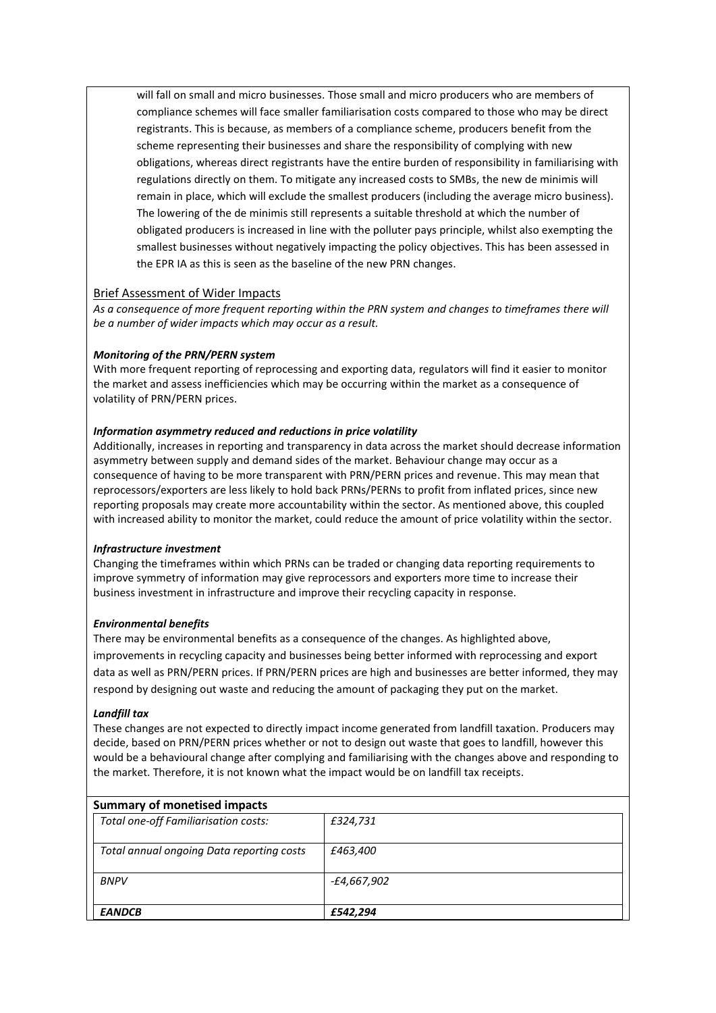will fall on small and micro businesses. Those small and micro producers who are members of compliance schemes will face smaller familiarisation costs compared to those who may be direct registrants. This is because, as members of a compliance scheme, producers benefit from the scheme representing their businesses and share the responsibility of complying with new obligations, whereas direct registrants have the entire burden of responsibility in familiarising with regulations directly on them. To mitigate any increased costs to SMBs, the new de minimis will remain in place, which will exclude the smallest producers (including the average micro business). The lowering of the de minimis still represents a suitable threshold at which the number of obligated producers is increased in line with the polluter pays principle, whilst also exempting the smallest businesses without negatively impacting the policy objectives. This has been assessed in the EPR IA as this is seen as the baseline of the new PRN changes.

# Brief Assessment of Wider Impacts

*As a consequence of more frequent reporting within the PRN system and changes to timeframes there will be a number of wider impacts which may occur as a result.* 

# *Monitoring of the PRN/PERN system*

With more frequent reporting of reprocessing and exporting data, regulators will find it easier to monitor the market and assess inefficiencies which may be occurring within the market as a consequence of volatility of PRN/PERN prices.

# *Information asymmetry reduced and reductions in price volatility*

Additionally, increases in reporting and transparency in data across the market should decrease information asymmetry between supply and demand sides of the market. Behaviour change may occur as a consequence of having to be more transparent with PRN/PERN prices and revenue. This may mean that reprocessors/exporters are less likely to hold back PRNs/PERNs to profit from inflated prices, since new reporting proposals may create more accountability within the sector. As mentioned above, this coupled with increased ability to monitor the market, could reduce the amount of price volatility within the sector.

### *Infrastructure investment*

Changing the timeframes within which PRNs can be traded or changing data reporting requirements to improve symmetry of information may give reprocessors and exporters more time to increase their business investment in infrastructure and improve their recycling capacity in response.

# *Environmental benefits*

There may be environmental benefits as a consequence of the changes. As highlighted above, improvements in recycling capacity and businesses being better informed with reprocessing and export data as well as PRN/PERN prices. If PRN/PERN prices are high and businesses are better informed, they may respond by designing out waste and reducing the amount of packaging they put on the market.

### *Landfill tax*

These changes are not expected to directly impact income generated from landfill taxation. Producers may decide, based on PRN/PERN prices whether or not to design out waste that goes to landfill, however this would be a behavioural change after complying and familiarising with the changes above and responding to the market. Therefore, it is not known what the impact would be on landfill tax receipts.

# **Summary of monetised impacts**

| Total one-off Familiarisation costs:      | £324,731    |
|-------------------------------------------|-------------|
| Total annual ongoing Data reporting costs | £463,400    |
| <b>BNPV</b>                               | -£4,667,902 |
| <b>EANDCB</b>                             | £542.294    |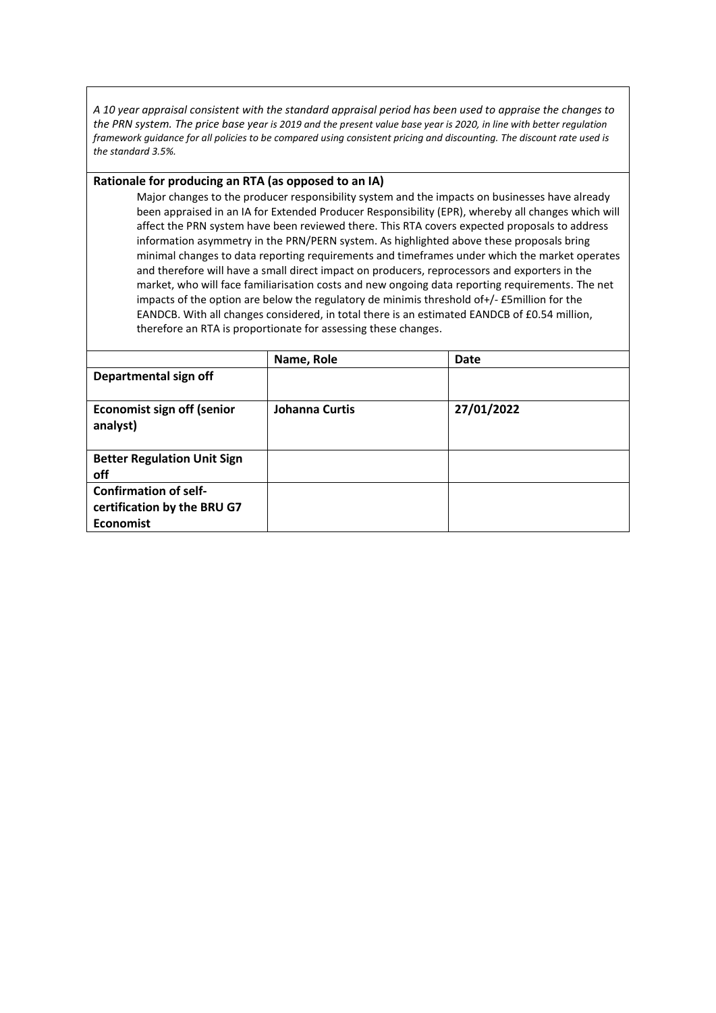*A 10 year appraisal consistent with the standard appraisal period has been used to appraise the changes to the PRN system. The price base year is 2019 and the present value base year is 2020, in line with better regulation framework guidance for all policies to be compared using consistent pricing and discounting. The discount rate used is the standard 3.5%.*

## **Rationale for producing an RTA (as opposed to an IA)**

Major changes to the producer responsibility system and the impacts on businesses have already been appraised in an IA for Extended Producer Responsibility (EPR), whereby all changes which will affect the PRN system have been reviewed there. This RTA covers expected proposals to address information asymmetry in the PRN/PERN system. As highlighted above these proposals bring minimal changes to data reporting requirements and timeframes under which the market operates and therefore will have a small direct impact on producers, reprocessors and exporters in the market, who will face familiarisation costs and new ongoing data reporting requirements. The net impacts of the option are below the regulatory de minimis threshold of+/- £5million for the EANDCB. With all changes considered, in total there is an estimated EANDCB of £0.54 million, therefore an RTA is proportionate for assessing these changes.

|                                                                                 | Name, Role     | Date       |
|---------------------------------------------------------------------------------|----------------|------------|
| Departmental sign off                                                           |                |            |
| <b>Economist sign off (senior</b><br>analyst)                                   | Johanna Curtis | 27/01/2022 |
| <b>Better Regulation Unit Sign</b><br>off                                       |                |            |
| <b>Confirmation of self-</b><br>certification by the BRU G7<br><b>Economist</b> |                |            |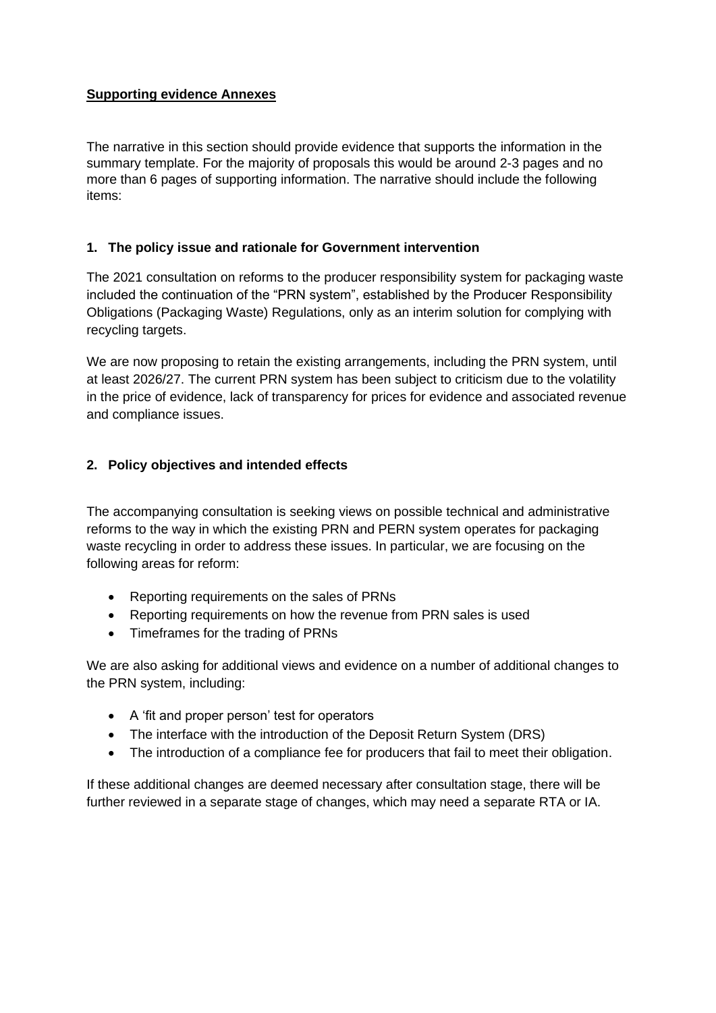# **Supporting evidence Annexes**

The narrative in this section should provide evidence that supports the information in the summary template. For the majority of proposals this would be around 2-3 pages and no more than 6 pages of supporting information. The narrative should include the following items:

# **1. The policy issue and rationale for Government intervention**

The 2021 consultation on reforms to the producer responsibility system for packaging waste included the continuation of the "PRN system", established by the Producer Responsibility Obligations (Packaging Waste) Regulations, only as an interim solution for complying with recycling targets.

We are now proposing to retain the existing arrangements, including the PRN system, until at least 2026/27. The current PRN system has been subject to criticism due to the volatility in the price of evidence, lack of transparency for prices for evidence and associated revenue and compliance issues.

# **2. Policy objectives and intended effects**

The accompanying consultation is seeking views on possible technical and administrative reforms to the way in which the existing PRN and PERN system operates for packaging waste recycling in order to address these issues. In particular, we are focusing on the following areas for reform:

- Reporting requirements on the sales of PRNs
- Reporting requirements on how the revenue from PRN sales is used
- Timeframes for the trading of PRNs

We are also asking for additional views and evidence on a number of additional changes to the PRN system, including:

- A 'fit and proper person' test for operators
- The interface with the introduction of the Deposit Return System (DRS)
- The introduction of a compliance fee for producers that fail to meet their obligation.

If these additional changes are deemed necessary after consultation stage, there will be further reviewed in a separate stage of changes, which may need a separate RTA or IA.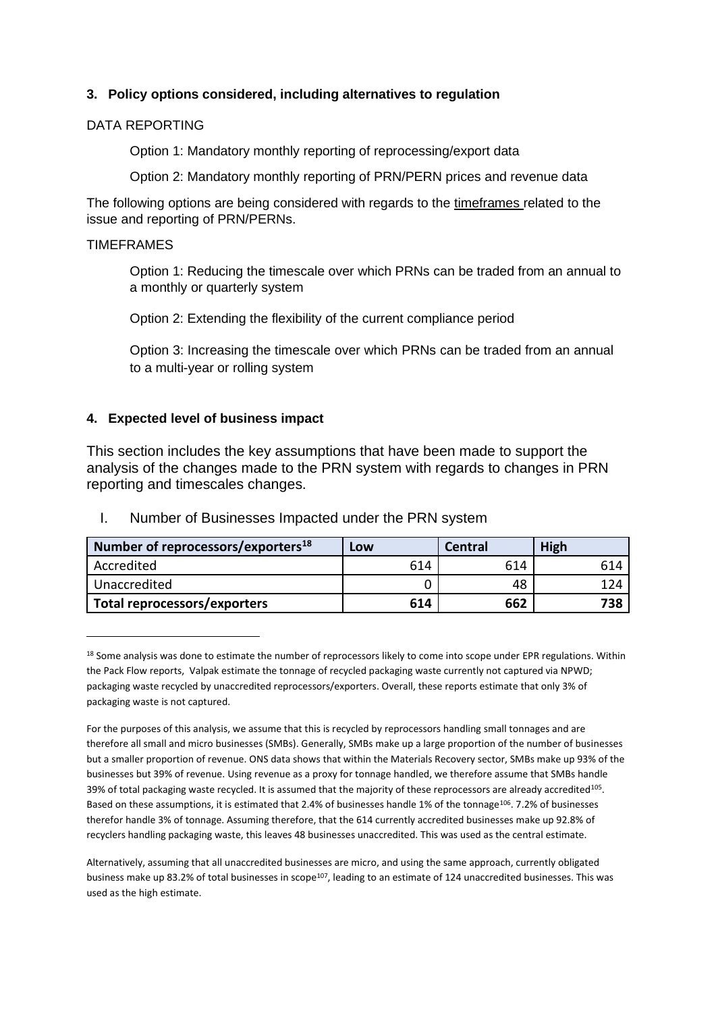# **3. Policy options considered, including alternatives to regulation**

# DATA REPORTING

Option 1: Mandatory monthly reporting of reprocessing/export data

Option 2: Mandatory monthly reporting of PRN/PERN prices and revenue data

The following options are being considered with regards to the timeframes related to the issue and reporting of PRN/PERNs.

# TIMEFRAMES

Option 1: Reducing the timescale over which PRNs can be traded from an annual to a monthly or quarterly system

Option 2: Extending the flexibility of the current compliance period

Option 3: Increasing the timescale over which PRNs can be traded from an annual to a multi-year or rolling system

# **4. Expected level of business impact**

This section includes the key assumptions that have been made to support the analysis of the changes made to the PRN system with regards to changes in PRN reporting and timescales changes.

| Number of reprocessors/exporters <sup>18</sup> | Low | Central | <b>High</b> |
|------------------------------------------------|-----|---------|-------------|
| Accredited                                     | 614 | 614     | 614         |
| Unaccredited                                   |     | 48      | 124         |
| Total reprocessors/exporters                   | 614 | 662     | 738         |

I. Number of Businesses Impacted under the PRN system

<sup>&</sup>lt;sup>18</sup> Some analysis was done to estimate the number of reprocessors likely to come into scope under EPR regulations. Within the Pack Flow reports, Valpak estimate the tonnage of recycled packaging waste currently not captured via NPWD; packaging waste recycled by unaccredited reprocessors/exporters. Overall, these reports estimate that only 3% of packaging waste is not captured.

For the purposes of this analysis, we assume that this is recycled by reprocessors handling small tonnages and are therefore all small and micro businesses (SMBs). Generally, SMBs make up a large proportion of the number of businesses but a smaller proportion of revenue. ONS data shows that within the Materials Recovery sector, SMBs make up 93% of the businesses but 39% of revenue. Using revenue as a proxy for tonnage handled, we therefore assume that SMBs handle 39% of total packaging waste recycled. It is assumed that the majority of these reprocessors are already accredited<sup>105</sup>. Based on these assumptions, it is estimated that 2.4% of businesses handle 1% of the tonnage<sup>106</sup>. 7.2% of businesses therefor handle 3% of tonnage. Assuming therefore, that the 614 currently accredited businesses make up 92.8% of recyclers handling packaging waste, this leaves 48 businesses unaccredited. This was used as the central estimate.

Alternatively, assuming that all unaccredited businesses are micro, and using the same approach, currently obligated business make up 83.2% of total businesses in scope<sup>107</sup>, leading to an estimate of 124 unaccredited businesses. This was used as the high estimate.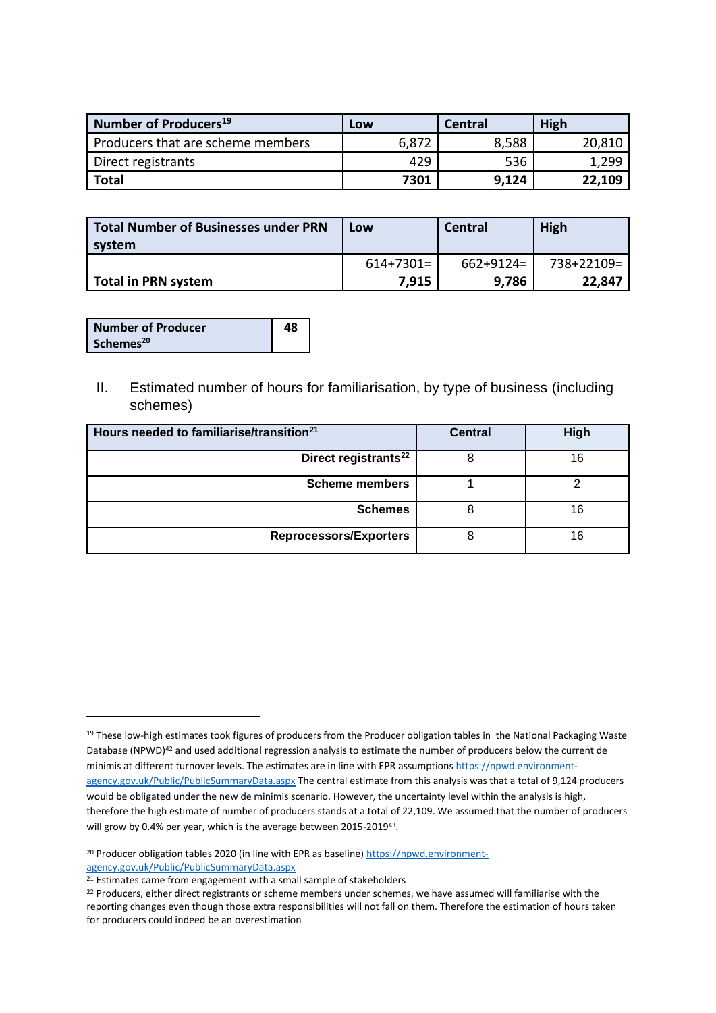| Number of Producers <sup>19</sup> | Low   | Central | High   |
|-----------------------------------|-------|---------|--------|
| Producers that are scheme members | 6,872 | 8,588   | 20,810 |
| Direct registrants                | 429   | 536     | 1,299  |
| <b>Total</b>                      | 7301  | 9,124   | 22,109 |

| <b>Total Number of Businesses under PRN</b><br>system | Low         | Central        | High       |
|-------------------------------------------------------|-------------|----------------|------------|
|                                                       | $614+7301=$ | $662 + 9124 =$ | 738+22109= |
| Total in PRN system                                   | 7.915       | 9.786          | 22,847     |

| <b>Number of Producer</b> | 48 |
|---------------------------|----|
| Schemes <sup>20</sup>     |    |

II. Estimated number of hours for familiarisation, by type of business (including schemes)

| Hours needed to familiarise/transition <sup>21</sup> | <b>Central</b> | High |
|------------------------------------------------------|----------------|------|
| Direct registrants <sup>22</sup>                     |                | 16   |
| <b>Scheme members</b>                                |                |      |
| <b>Schemes</b>                                       |                | 16   |
| <b>Reprocessors/Exporters</b>                        |                | 16   |

<sup>&</sup>lt;sup>19</sup> These low-high estimates took figures of producers from the Producer obligation tables in the National Packaging Waste Database (NPWD)<sup>42</sup> and used additional regression analysis to estimate the number of producers below the current de minimis at different turnover levels. The estimates are in line with EPR assumption[s https://npwd.environment](https://npwd.environment-agency.gov.uk/Public/PublicSummaryData.aspx)[agency.gov.uk/Public/PublicSummaryData.aspx](https://npwd.environment-agency.gov.uk/Public/PublicSummaryData.aspx) The central estimate from this analysis was that a total of 9,124 producers would be obligated under the new de minimis scenario. However, the uncertainty level within the analysis is high, therefore the high estimate of number of producers stands at a total of 22,109. We assumed that the number of producers will grow by 0.4% per year, which is the average between 2015-2019<sup>43</sup>.

<sup>&</sup>lt;sup>20</sup> Producer obligation tables 2020 (in line with EPR as baseline) [https://npwd.environment](https://npwd.environment-agency.gov.uk/Public/PublicSummaryData.aspx)[agency.gov.uk/Public/PublicSummaryData.aspx](https://npwd.environment-agency.gov.uk/Public/PublicSummaryData.aspx)

<sup>&</sup>lt;sup>21</sup> Estimates came from engagement with a small sample of stakeholders

<sup>&</sup>lt;sup>22</sup> Producers, either direct registrants or scheme members under schemes, we have assumed will familiarise with the reporting changes even though those extra responsibilities will not fall on them. Therefore the estimation of hours taken for producers could indeed be an overestimation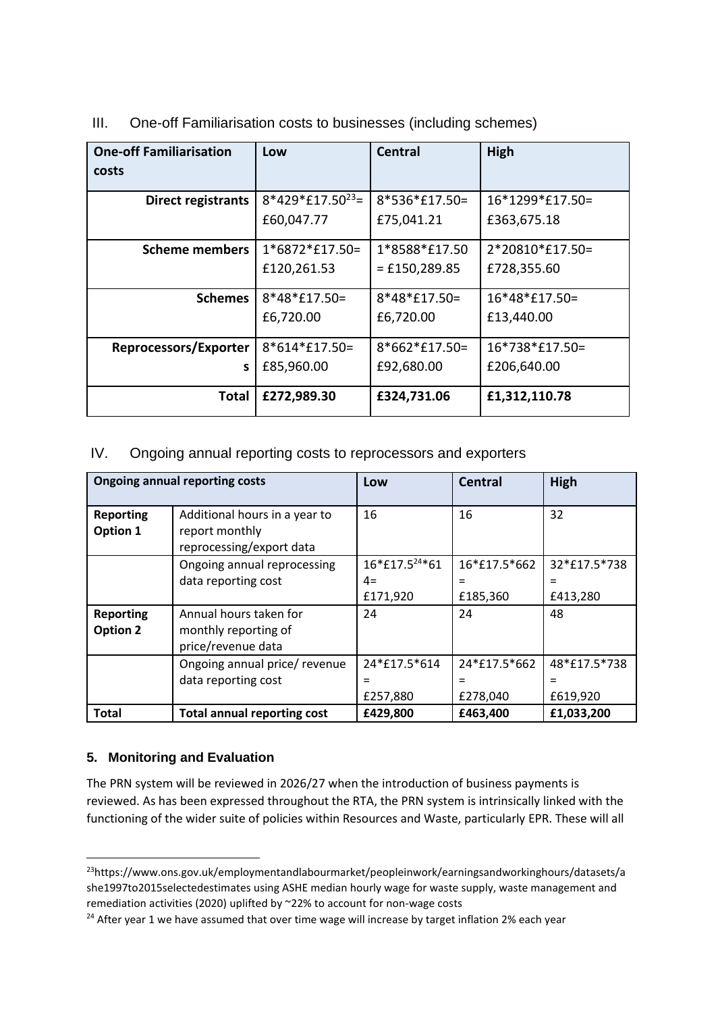| <b>One-off Familiarisation</b><br>costs | Low                   | <b>Central</b>  | <b>High</b>     |
|-----------------------------------------|-----------------------|-----------------|-----------------|
|                                         |                       |                 |                 |
| <b>Direct registrants</b>               | $8*429*£17.50^{23}$ = | 8*536*£17.50=   | 16*1299*£17.50= |
|                                         | £60,047.77            | £75,041.21      | £363,675.18     |
| <b>Scheme members</b>                   | 1*6872*£17.50=        | 1*8588*£17.50   | 2*20810*£17.50= |
|                                         | £120,261.53           | $=$ £150,289.85 | £728,355.60     |
| <b>Schemes</b>                          | $8*48*£17.50=$        | 8*48*£17.50=    | 16*48*£17.50=   |
|                                         | £6,720.00             | £6,720.00       | £13,440.00      |
| Reprocessors/Exporter                   | 8*614*£17.50=         | $8*662*£17.50=$ | 16*738*£17.50=  |
| s                                       | £85,960.00            | £92,680.00      | £206,640.00     |
| Total                                   | £272,989.30           | £324,731.06     | £1,312,110.78   |

III. One-off Familiarisation costs to businesses (including schemes)

# IV. Ongoing annual reporting costs to reprocessors and exporters

|                                     | <b>Ongoing annual reporting costs</b>                                       | Low                                            | Central                         | High                            |
|-------------------------------------|-----------------------------------------------------------------------------|------------------------------------------------|---------------------------------|---------------------------------|
| <b>Reporting</b><br>Option 1        | Additional hours in a year to<br>report monthly<br>reprocessing/export data | 16                                             | 16                              | 32                              |
|                                     | Ongoing annual reprocessing<br>data reporting cost                          | 16*£17.5 <sup>24</sup> *61<br>$4=$<br>£171,920 | 16*£17.5*662<br>£185,360        | 32*£17.5*738<br>$=$<br>£413,280 |
| <b>Reporting</b><br><b>Option 2</b> | Annual hours taken for<br>monthly reporting of<br>price/revenue data        | 24                                             | 24                              | 48                              |
|                                     | Ongoing annual price/ revenue<br>data reporting cost                        | 24*£17.5*614<br>$=$<br>£257,880                | 24*£17.5*662<br>$=$<br>£278,040 | 48*£17.5*738<br>$=$<br>£619,920 |
| <b>Total</b>                        | <b>Total annual reporting cost</b>                                          | £429,800                                       | £463,400                        | £1,033,200                      |

# **5. Monitoring and Evaluation**

The PRN system will be reviewed in 2026/27 when the introduction of business payments is reviewed. As has been expressed throughout the RTA, the PRN system is intrinsically linked with the functioning of the wider suite of policies within Resources and Waste, particularly EPR. These will all

<sup>23</sup>https://www.ons.gov.uk/employmentandlabourmarket/peopleinwork/earningsandworkinghours/datasets/a she1997to2015selectedestimates using ASHE median hourly wage for waste supply, waste management and remediation activities (2020) uplifted by ~22% to account for non-wage costs

<sup>&</sup>lt;sup>24</sup> After year 1 we have assumed that over time wage will increase by target inflation 2% each year